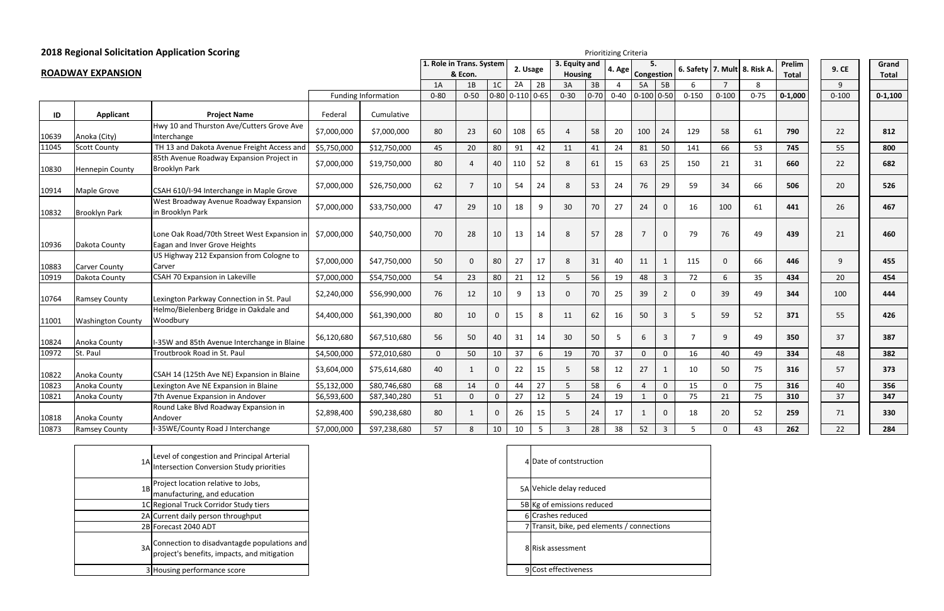| 9. CE     | Grand        |
|-----------|--------------|
|           | <b>Total</b> |
| 9         |              |
| $0 - 100$ | $0 - 1,100$  |
|           |              |
| 22        | 812          |
| 55        | 800          |
| 22        | 682          |
| 20        | 526          |
| 26        | 467          |
| 21        | 460          |
| 9         | 455          |
| 20        | 454          |
| 100       | 444          |
| 55        | 426          |
| 37        | 387          |
| 48        | 382          |
| 57        | 373          |
| 40        | 356          |
| 37        | 347          |
| 71        | 330          |
| 22        | 284          |

|       |                          | <b>2018 Regional Solicitation Application Scoring</b>                        |             |                            | Prioritizing Criteria    |              |                |                   |                |                                 |          |          |                  |                |           |                |                    |                        |              |                       |
|-------|--------------------------|------------------------------------------------------------------------------|-------------|----------------------------|--------------------------|--------------|----------------|-------------------|----------------|---------------------------------|----------|----------|------------------|----------------|-----------|----------------|--------------------|------------------------|--------------|-----------------------|
|       | <b>ROADWAY EXPANSION</b> |                                                                              |             |                            | 1. Role in Trans. System | & Econ.      |                | 2. Usage          |                | 3. Equity and<br><b>Housing</b> |          | 4. Age   | 5.<br>Congestion |                | 6. Safety |                | 7. Mult 8. Risk A. | Prelim<br><b>Total</b> | <b>9. CE</b> | Grand<br><b>Total</b> |
|       |                          |                                                                              |             |                            | 1A                       | 1B           | 1 <sub>C</sub> | 2A                | 2B             | 3A                              | 3B       | 4        | 5A               | 5B             | 6         | $\overline{7}$ | 8                  |                        | 9            |                       |
|       |                          |                                                                              |             | <b>Funding Information</b> | $0 - 80$                 | $0 - 50$     |                | $0-80$ 0-110 0-65 |                | $0 - 30$                        | $0 - 70$ | $0 - 40$ | $0-100$ 0-50     |                | $0 - 150$ | $0 - 100$      | $0 - 75$           | $0 - 1,000$            | $0 - 100$    | $0 - 1,100$           |
| ID    | Applicant                | <b>Project Name</b>                                                          | Federal     | Cumulative                 |                          |              |                |                   |                |                                 |          |          |                  |                |           |                |                    |                        |              |                       |
| 10639 | Anoka (City)             | Hwy 10 and Thurston Ave/Cutters Grove Ave<br>Interchange                     | \$7,000,000 | \$7,000,000                | 80                       | 23           | 60             | 108               | 65             | $\overline{A}$                  | 58       | 20       | 100              | 24             | 129       | 58             | 61                 | 790                    | 22           | 812                   |
| 11045 | <b>Scott County</b>      | TH 13 and Dakota Avenue Freight Access and                                   | \$5,750,000 | \$12,750,000               | 45                       | 20           | 80             | 91                | 42             | 11                              | 41       | 24       | 81               | 50             | 141       | 66             | 53                 | 745                    | 55           | 800                   |
| 10830 | <b>Hennepin County</b>   | 85th Avenue Roadway Expansion Project in<br><b>Brooklyn Park</b>             | \$7,000,000 | \$19,750,000               | 80                       | 4            | 40             | 110               | 52             | 8                               | 61       | 15       | 63               | 25             | 150       | 21             | 31                 | 660                    | 22           | 682                   |
| 10914 | Maple Grove              | CSAH 610/I-94 Interchange in Maple Grove                                     | \$7,000,000 | \$26,750,000               | 62                       | -7           | 10             | 54                | 24             | 8                               | 53       | 24       | 76               | 29             | 59        | 34             | 66                 | 506                    | 20           | 526                   |
| 10832 | <b>Brooklyn Park</b>     | West Broadway Avenue Roadway Expansion<br>in Brooklyn Park                   | \$7,000,000 | \$33,750,000               | 47                       | 29           | 10             | 18                | 9              | 30                              | 70       | 27       | 24               | $\mathbf 0$    | 16        | 100            | 61                 | 441                    | 26           | 467                   |
| 10936 | Dakota County            | Lone Oak Road/70th Street West Expansion in<br>Eagan and Inver Grove Heights | \$7,000,000 | \$40,750,000               | 70                       | 28           | 10             | 13                | 14             | 8                               | 57       | 28       | $\overline{7}$   | $\mathbf 0$    | 79        | 76             | 49                 | 439                    | 21           | 460                   |
| 10883 | Carver County            | US Highway 212 Expansion from Cologne to<br>Carver                           | \$7,000,000 | \$47,750,000               | 50                       | $\Omega$     | 80             | 27                | 17             | 8                               | 31       | 40       | 11               | 1              | 115       | $\mathbf{0}$   | 66                 | 446                    | 9            | 455                   |
| 10919 | Dakota County            | <b>CSAH 70 Expansion in Lakeville</b>                                        | \$7,000,000 | \$54,750,000               | 54                       | 23           | 80             | 21                | 12             | 5                               | 56       | 19       | 48               | $\overline{3}$ | 72        | 6              | 35                 | 434                    | 20           | 454                   |
| 10764 | <b>Ramsey County</b>     | Lexington Parkway Connection in St. Paul                                     | \$2,240,000 | \$56,990,000               | 76                       | 12           | 10             |                   | 13             | $\Omega$                        | 70       | 25       | 39               | $\overline{2}$ | $\Omega$  | 39             | 49                 | 344                    | 100          | 444                   |
| 11001 | <b>Washington County</b> | Helmo/Bielenberg Bridge in Oakdale and<br>Woodbury                           | \$4,400,000 | \$61,390,000               | 80                       | 10           | $\mathbf 0$    | 15                | 8              | 11                              | 62       | 16       | 50               | $\overline{3}$ | 5         | 59             | 52                 | 371                    | 55           | 426                   |
| 10824 | Anoka County             | I-35W and 85th Avenue Interchange in Blaine                                  | \$6,120,680 | \$67,510,680               | 56                       | 50           | 40             | 31                | 14             | 30                              | 50       | 5        | 6                | $\overline{3}$ | 7         | 9              | 49                 | 350                    | 37           | 387                   |
| 10972 | St. Paul                 | Troutbrook Road in St. Paul                                                  | \$4,500,000 | \$72,010,680               | $\mathbf 0$              | 50           | 10             | 37                | 6              | 19                              | 70       | 37       | $\mathbf 0$      | $\mathbf 0$    | 16        | 40             | 49                 | 334                    | 48           | 382                   |
| 10822 | Anoka County             | CSAH 14 (125th Ave NE) Expansion in Blaine                                   | \$3,604,000 | \$75,614,680               | 40                       | $\mathbf{1}$ | $\mathbf{0}$   | 22                | 15             | $\overline{5}$                  | 58       | 12       | 27               | $\mathbf{1}$   | 10        | 50             | 75                 | 316                    | 57           | 373                   |
| 10823 | Anoka County             | Lexington Ave NE Expansion in Blaine                                         | \$5,132,000 | \$80,746,680               | 68                       | 14           |                | 44                | 27             | .5                              | 58       | 6        | $\overline{4}$   | $\mathbf 0$    | 15        | $\Omega$       | 75                 | 316                    | 40           | 356                   |
| 10821 | Anoka County             | 7th Avenue Expansion in Andover                                              | \$6,593,600 | \$87,340,280               | 51                       | $\Omega$     | $\Omega$       | 27                | 12             | .5                              | 24       | 19       | 1                | $\mathbf 0$    | 75        | 21             | 75                 | 310                    | 37           | 347                   |
| 10818 | Anoka County             | Round Lake Blvd Roadway Expansion in<br>Andover                              | \$2,898,400 | \$90,238,680               | 80                       | -1           | $\mathbf{0}$   | 26                | 15             | -5                              | 24       | 17       | -1               | $\mathbf 0$    | 18        | 20             | 52                 | 259                    | 71           | 330                   |
| 10873 | <b>Ramsey County</b>     | I-35WE/County Road J Interchange                                             | \$7,000,000 | \$97,238,680               | 57                       | 8            | 10             | 10                | $5\phantom{.}$ | $\mathbf{3}$                    | 28       | 38       | 52               | $\overline{3}$ | 5         | $\mathbf{0}$   | 43                 | 262                    | 22           | 284                   |

| 1A <sub>l</sub> | Level of congestion and Principal Arterial<br>Intersection Conversion Study priorities                    |  |
|-----------------|-----------------------------------------------------------------------------------------------------------|--|
|                 | 1B Project location relative to Jobs,<br>manufacturing, and education                                     |  |
|                 | 1C Regional Truck Corridor Study tiers                                                                    |  |
|                 | 2A Current daily person throughput                                                                        |  |
|                 | 2B Forecast 2040 ADT                                                                                      |  |
|                 | $\mathsf{B}^3$ Connection to disadvantagde populations and<br>project's benefits, impacts, and mitigation |  |
|                 | 3 Housing performance score                                                                               |  |

| $\mathbf{A}$ | Date of contstruction                     |
|--------------|-------------------------------------------|
|              | 5A Vehicle delay reduced                  |
|              | 5B Kg of emissions reduced                |
| 6            | Crashes reduced                           |
|              | Transit, bike, ped elements / connections |
| 8            | Risk assessment                           |
| q            | Cost effectiveness                        |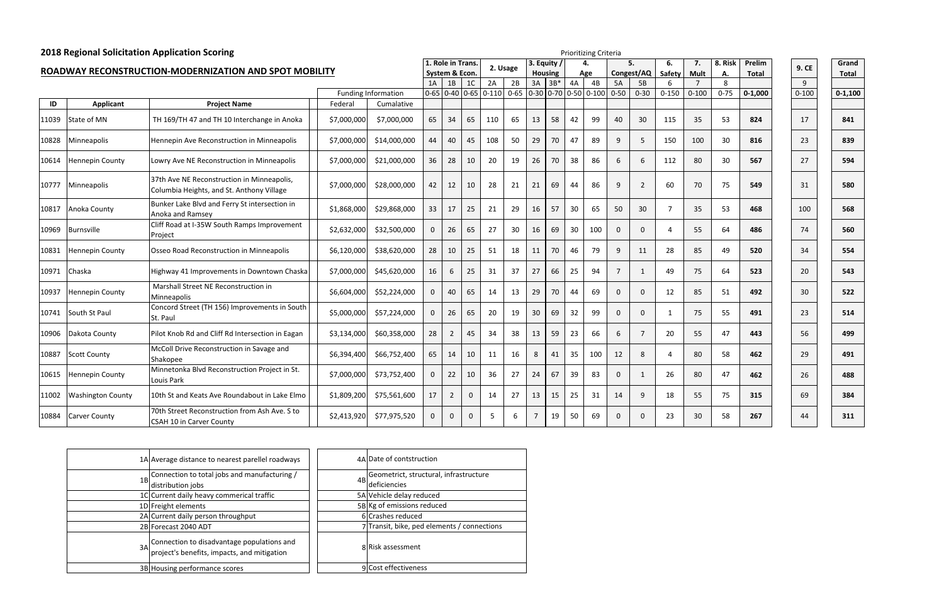| n  | 9. CE     | Grand        |
|----|-----------|--------------|
| I  |           | <b>Total</b> |
|    | 9         |              |
| )0 | $0 - 100$ | $0 - 1,100$  |
|    |           |              |
|    | 17        | 841          |
|    | 23        | 839          |
|    | 27        | 594          |
|    | 31        | 580          |
|    | 100       | 568          |
|    | 74        | 560          |
|    | 34        | 554          |
|    | 20        | 543          |
|    | 30        | 522          |
|    | 23        | 514          |
|    | 56        | 499          |
|    | 29        | 491          |
|    | 26        | 488          |
|    | 69        | 384          |
|    | 44        | 311          |

| <b>2018 Regional Solicitation Application Scoring</b> |                          | Prioritizing Criteria                                                                   |             |                            |                   |                |                |          |    |                |                |    |                                                  |             |                 |                |             |          |              |           |              |
|-------------------------------------------------------|--------------------------|-----------------------------------------------------------------------------------------|-------------|----------------------------|-------------------|----------------|----------------|----------|----|----------------|----------------|----|--------------------------------------------------|-------------|-----------------|----------------|-------------|----------|--------------|-----------|--------------|
|                                                       |                          |                                                                                         |             |                            | 1. Role in Trans. |                |                | 2. Usage |    |                | 3. Equity      |    |                                                  | 5.          |                 | 6.             | 7.          | 8. Risk  | Prelim       | 9. CE     | Grand        |
|                                                       |                          | ROADWAY RECONSTRUCTION-MODERNIZATION AND SPOT MOBILITY                                  |             |                            |                   | System & Econ. |                |          |    |                | <b>Housing</b> |    | Age                                              |             | Congest/AQ      | Safety         | <b>Mult</b> | Α.       | <b>Total</b> |           | <b>Total</b> |
|                                                       |                          |                                                                                         |             |                            | 1A                | 1B             | 1 <sup>C</sup> | 2A       | 2B | 3A             | $3B*$          | 4A | 4B                                               | 5A          | 5B              |                |             | 8        |              | 9         |              |
|                                                       |                          |                                                                                         |             | <b>Funding Information</b> |                   |                |                |          |    |                |                |    | $0.65$ 0.40 0.65 0.110 0.65 0.30 0.70 0.50 0.100 | $0 - 50$    | $0 - 30$        | $0 - 150$      | $0 - 100$   | $0 - 75$ | $0 - 1,000$  | $0 - 100$ | $0 - 1,100$  |
| ID                                                    | <b>Applicant</b>         | <b>Project Name</b>                                                                     | Federal     | Cumalative                 |                   |                |                |          |    |                |                |    |                                                  |             |                 |                |             |          |              |           |              |
| 11039                                                 | State of MN              | TH 169/TH 47 and TH 10 Interchange in Anoka                                             | \$7,000,000 | \$7,000,000                | 65                | 34             | 65             | 110      | 65 | 13             | 58             | 42 | 99                                               | 40          | 30              | 115            | 35          | 53       | 824          | 17        | 841          |
| 10828                                                 | <b>Minneapolis</b>       | Hennepin Ave Reconstruction in Minneapolis                                              | \$7,000,000 | \$14,000,000               | 44                | 40             | 45             | 108      | 50 | 29             | 70             | 47 | 89                                               | 9           | 5               | 150            | 100         | 30       | 816          | 23        | 839          |
| 10614                                                 | <b>Hennepin County</b>   | Lowry Ave NE Reconstruction in Minneapolis                                              | \$7,000,000 | \$21,000,000               | 36                | 28             | 10             | 20       | 19 | 26             | 70             | 38 | 86                                               | 6           | 6               | 112            | 80          | 30       | 567          | 27        | 594          |
| 10777                                                 | Minneapolis              | 37th Ave NE Reconstruction in Minneapolis,<br>Columbia Heights, and St. Anthony Village | \$7,000,000 | \$28,000,000               | 42                | 12             | 10             | 28       | 21 | 21             | 69             | 44 | 86                                               | 9           | $\overline{2}$  | 60             | 70          | 75       | 549          | 31        | 580          |
| 10817                                                 | Anoka County             | Bunker Lake Blvd and Ferry St intersection in<br>Anoka and Ramsey                       | \$1,868,000 | \$29,868,000               | 33                | 17             | 25             | 21       | 29 | 16             | 57             | 30 | 65                                               | 50          | 30 <sup>°</sup> | $\overline{7}$ | 35          | 53       | 468          | 100       | 568          |
| 10969                                                 | <b>Burnsville</b>        | Cliff Road at I-35W South Ramps Improvement<br>Project                                  | \$2,632,000 | \$32,500,000               | $\mathbf{0}$      | 26             | 65             | 27       | 30 | 16             | 69             | 30 | 100                                              | $\mathbf 0$ | $\mathbf{0}$    | $\Delta$       | 55          | 64       | 486          | 74        | 560          |
| 10831                                                 | <b>Hennepin County</b>   | Osseo Road Reconstruction in Minneapolis                                                | \$6,120,000 | \$38,620,000               | 28                | 10             | 25             | 51       | 18 | 11             | 70             | 46 | 79                                               | q           | 11              | 28             | 85          | 49       | 520          | 34        | 554          |
| 10971                                                 | Chaska                   | Highway 41 Improvements in Downtown Chaska                                              | \$7,000,000 | \$45,620,000               | 16                | 6              | 25             | 31       | 37 | 27             | 66             | 25 | 94                                               | 7           | $\mathbf{1}$    | 49             | 75          | 64       | 523          | 20        | 543          |
| 10937                                                 | <b>Hennepin County</b>   | Marshall Street NE Reconstruction in<br>Minneapolis                                     | \$6,604,000 | \$52,224,000               | $\mathbf{0}$      | 40             | 65             | 14       | 13 | 29             | 70             | 44 | 69                                               | $\Omega$    | $\Omega$        | 12             | 85          | 51       | 492          | 30        | 522          |
| 10741                                                 | South St Paul            | Concord Street (TH 156) Improvements in South<br>St. Paul                               | \$5,000,000 | \$57,224,000               | $\mathbf 0$       | 26             | 65             | 20       | 19 | 30             | 69             | 32 | 99                                               | $\Omega$    | $\mathbf 0$     | -1             | 75          | 55       | 491          | 23        | 514          |
| 10906                                                 | Dakota County            | Pilot Knob Rd and Cliff Rd Intersection in Eagan                                        | \$3,134,000 | \$60,358,000               | 28                | 2              | 45             | 34       | 38 | 13             | 59             | 23 | 66                                               | 6           | $\overline{7}$  | 20             | 55          | 47       | 443          | 56        | 499          |
| 10887                                                 | <b>Scott County</b>      | McColl Drive Reconstruction in Savage and<br>Shakopee                                   | \$6,394,400 | \$66,752,400               | 65                | 14             | 10             | 11       | 16 | 8              | 41             | 35 | 100                                              | 12          | 8               | 4              | 80          | 58       | 462          | 29        | 491          |
| 10615                                                 | Hennepin County          | Minnetonka Blvd Reconstruction Project in St.<br>Louis Park                             | \$7,000,000 | \$73,752,400               | $\mathbf 0$       | 22             | 10             | 36       | 27 | 24             | 67             | 39 | 83                                               | $\Omega$    | 1               | 26             | 80          | 47       | 462          | 26        | 488          |
| 11002                                                 | <b>Washington County</b> | 10th St and Keats Ave Roundabout in Lake Elmo                                           | \$1,809,200 | \$75,561,600               | 17                | 2              | $\mathbf 0$    | 14       | 27 | 13             | 15             | 25 | 31                                               | 14          | 9               | 18             | 55          | 75       | 315          | 69        | 384          |
| 10884                                                 | <b>Carver County</b>     | 70th Street Reconstruction from Ash Ave. S to<br>CSAH 10 in Carver County               | \$2,413,920 | \$77,975,520               | $\Omega$          | $\Omega$       | $\Omega$       | .5       | 6  | $\overline{7}$ | 19             | 50 | 69                                               | $\Omega$    | $\Omega$        | 23             | 30          | 58       | 267          | 44        | 311          |

| 1A Average distance to nearest parellel roadways                                             |  | 4A Date of contstruction                                  |
|----------------------------------------------------------------------------------------------|--|-----------------------------------------------------------|
| 1B Connection to total jobs and manufacturing /<br>distribution jobs                         |  | Geometrict, structural, infrastructure<br>4B deficiencies |
| 1C Current daily heavy commerical traffic                                                    |  | 5A Vehicle delay reduced                                  |
| 1D Freight elements                                                                          |  | 5B Kg of emissions reduced                                |
| 2A Current daily person throughput                                                           |  | 6 Crashes reduced                                         |
| 2B Forecast 2040 ADT                                                                         |  | 7 Transit, bike, ped elements / connections               |
| 3A Connection to disadvantage populations and<br>project's benefits, impacts, and mitigation |  | 8 Risk assessment                                         |
| 3B Housing performance scores                                                                |  | 9 Cost effectiveness                                      |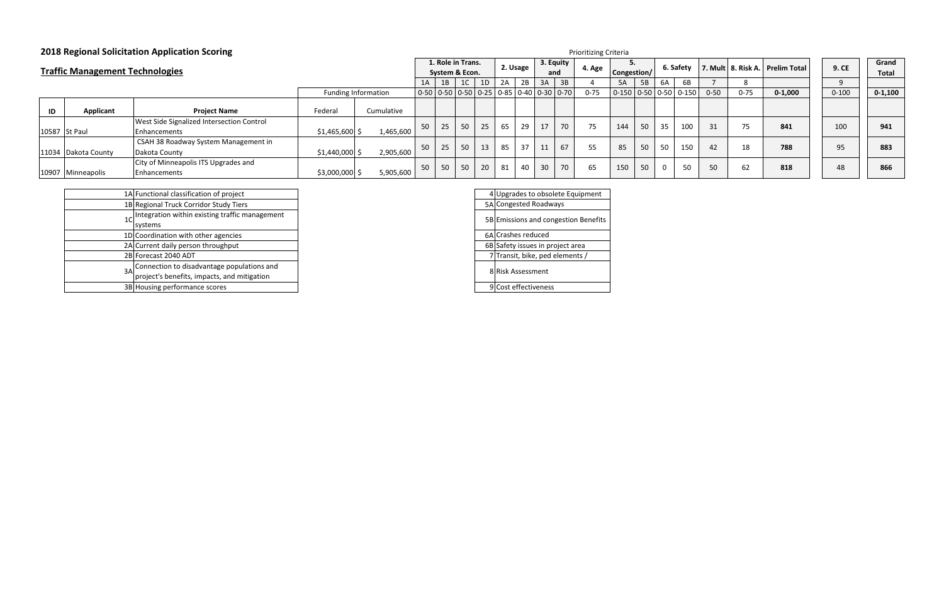|               |                                        | <b>2018 Regional Solicitation Application Scoring</b> | <b>Prioritizing Criteria</b> |                                     |    |            |                                                         |    |                  |    |                       |    |           |                           |    |    |     |                                     |          |                |           |             |
|---------------|----------------------------------------|-------------------------------------------------------|------------------------------|-------------------------------------|----|------------|---------------------------------------------------------|----|------------------|----|-----------------------|----|-----------|---------------------------|----|----|-----|-------------------------------------|----------|----------------|-----------|-------------|
|               | <b>Traffic Management Technologies</b> |                                                       |                              | 1. Role in Trans.<br>System & Econ. |    |            | 2. Usage                                                |    | 3. Equity<br>and |    | 4. Age<br>Congestion/ |    | 6. Safety |                           |    |    |     | 7. Mult   8. Risk A.   Prelim Total | 9. CE    | Grand<br>Total |           |             |
|               |                                        |                                                       |                              |                                     | 1A | 1B         | 1C                                                      | 1D | 2A               | 2B | 3A                    | 3B |           | 5A                        | 5B | 6A |     |                                     |          |                |           |             |
|               |                                        |                                                       |                              | Funding Information                 |    |            | $0.50$   0-50   0-50   0-25   0-85   0-40   0-30   0-70 |    |                  |    |                       |    | $0 - 75$  | $ 0-150 0-50 0-50 0-150 $ |    |    |     | $0 - 50$                            | $0 - 75$ | $0 - 1,000$    | $0 - 100$ | $0 - 1,100$ |
| ID            | Applicant                              | <b>Project Name</b>                                   | Federal                      | Cumulative                          |    |            |                                                         |    |                  |    |                       |    |           |                           |    |    |     |                                     |          |                |           |             |
|               |                                        | West Side Signalized Intersection Control             |                              |                                     |    | $\vert$ 25 | 50                                                      | 25 | 65               | 29 | 17 <sup>1</sup>       | 70 | 75        | 144                       | 50 | 35 | 100 | 31                                  | 75       | 841            | 100       | 941         |
| 10587 St Paul |                                        | <b>IEnhancements</b>                                  | $$1,465,600$ \$              | 1,465,600                           |    |            |                                                         |    |                  |    |                       |    |           |                           |    |    |     |                                     |          |                |           |             |
|               |                                        | CSAH 38 Roadway System Management in                  |                              |                                     | 50 | 25         | 50                                                      | 13 | 85               | 37 | 11 l                  | 67 | 55        | 85                        | 50 | 50 | 150 | 42                                  | 18       | 788            | 95        | 883         |
|               | 11034 Dakota County                    | Dakota County                                         | $$1,440,000$ \$              | 2,905,600                           |    |            |                                                         |    |                  |    |                       |    |           |                           |    |    |     |                                     |          |                |           |             |
|               |                                        | City of Minneapolis ITS Upgrades and                  |                              |                                     |    | $\vert$ 50 | 50                                                      | 20 | 81               | 40 | 30 <sup>°</sup>       | 70 | 65        |                           | 50 |    | 50  |                                     | 62       | 818            | 48        | 866         |
|               | 10907 Minneapolis                      | Enhancements                                          | \$3,000,000                  | 5,905,600                           | 50 |            |                                                         |    |                  |    |                       |    |           | 150                       |    |    |     | 50                                  |          |                |           |             |

|                | 1A Functional classification of project                                                   | Д  |
|----------------|-------------------------------------------------------------------------------------------|----|
|                | 1B Regional Truck Corridor Study Tiers                                                    | 5A |
| 1 <sub>C</sub> | Integration within existing traffic management<br>systems                                 | 5B |
|                | 1D Coordination with other agencies                                                       | 6A |
|                | 2A Current daily person throughput                                                        | 6B |
|                | 2B Forecast 2040 ADT                                                                      |    |
| 3A             | Connection to disadvantage populations and<br>project's benefits, impacts, and mitigation | 8  |
|                | 3B Housing performance scores                                                             | 9  |

| 4 Upgrades to obsolete Equipment     |
|--------------------------------------|
| 5A Congested Roadways                |
| 5B Emissions and congestion Benefits |
| 6A Crashes reduced                   |
| 6B Safety issues in project area     |
| 7 Transit, bike, ped elements /      |
| <b>Risk Assessment</b>               |
| 9 Cost effectiveness                 |
|                                      |

| Grand<br><b>Total</b> |
|-----------------------|
|                       |
| $0 - 1,100$           |
|                       |
| 941                   |
| 883                   |
| 866                   |
|                       |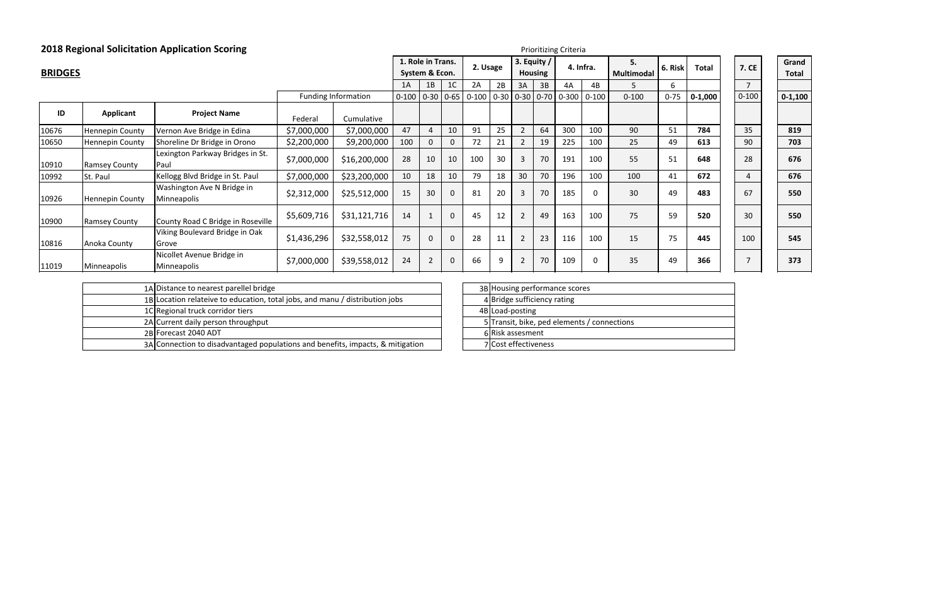|                |                        | <b>2018 Regional Solicitation Application Scoring</b> |             |                     | <b>Prioritizing Criteria</b>        |                |                |           |                                 |                 |                  |           |                         |           |              |              |                       |             |
|----------------|------------------------|-------------------------------------------------------|-------------|---------------------|-------------------------------------|----------------|----------------|-----------|---------------------------------|-----------------|------------------|-----------|-------------------------|-----------|--------------|--------------|-----------------------|-------------|
| <b>BRIDGES</b> |                        |                                                       |             |                     | 1. Role in Trans.<br>System & Econ. |                | 2. Usage       |           | 3. Equity $/$<br><b>Housing</b> |                 | 4. Infra.        |           | 5.<br><b>Multimodal</b> | 6. Risk   | <b>Total</b> | <b>7. CE</b> | Grand<br><b>Total</b> |             |
|                |                        |                                                       |             |                     | 1A                                  | 1B             | 1 <sup>C</sup> | 2A        | 2B                              | 3A              | 3B               | 4A        | 4B                      | 5         | 6            |              |                       |             |
|                |                        |                                                       |             | Funding Information | $0 - 100$                           | $0-30$ $0-65$  |                | $0 - 100$ |                                 |                 | $0-30$ 0-30 0-70 | $0 - 300$ | $0 - 100$               | $0 - 100$ | $0 - 75$     | $0 - 1,000$  | $0 - 100$             | $0 - 1,100$ |
| ID             | Applicant              | <b>Project Name</b>                                   | Federal     | Cumulative          |                                     |                |                |           |                                 |                 |                  |           |                         |           |              |              |                       |             |
| 10676          | <b>Hennepin County</b> | Vernon Ave Bridge in Edina                            | \$7,000,000 | \$7,000,000         | 47                                  | 4              | 10             | 91        | 25                              |                 | 64               | 300       | 100                     | 90        | 51           | 784          | 35                    | 819         |
| 10650          | <b>Hennepin County</b> | Shoreline Dr Bridge in Orono                          | \$2,200,000 | \$9,200,000         | 100                                 | 0              | $\mathbf{0}$   | 72        | 21                              |                 | 19               | 225       | 100                     | 25        | 49           | 613          | 90                    | 703         |
| 10910          | <b>Ramsey County</b>   | Lexington Parkway Bridges in St.<br>Paul              | \$7,000,000 | \$16,200,000        | 28                                  | 10             | 10             | 100       | 30                              | 3               | 70               | 191       | 100                     | 55        | 51           | 648          | 28                    | 676         |
| 10992          | St. Paul               | Kellogg Blvd Bridge in St. Paul                       | \$7,000,000 | \$23,200,000        | 10                                  | 18             | 10             | 79        | 18                              | 30 <sup>°</sup> | 70               | 196       | 100                     | 100       | 41           | 672          |                       | 676         |
| 10926          | Hennepin County        | Washington Ave N Bridge in<br>Minneapolis             | \$2,312,000 | \$25,512,000        | 15                                  | 30             | $\mathbf 0$    | 81        | 20                              | 3               | 70               | 185       | 0                       | 30        | 49           | 483          | 67                    | 550         |
| 10900          | <b>Ramsey County</b>   | County Road C Bridge in Roseville                     | \$5,609,716 | \$31,121,716        | 14                                  |                | $\mathbf 0$    | 45        | 12                              | $\overline{2}$  | 49               | 163       | 100                     | 75        | 59           | 520          | 30                    | 550         |
| 10816          | Anoka County           | Viking Boulevard Bridge in Oak<br>Grove               | \$1,436,296 | \$32,558,012        | 75                                  | $\mathbf{0}$   | $\mathbf 0$    | 28        | 11                              | $\overline{2}$  | 23               | 116       | 100                     | 15        | 75           | 445          | 100                   | 545         |
| 11019          | Minneapolis            | Nicollet Avenue Bridge in<br>Minneapolis              | \$7,000,000 | \$39,558,012        | 24                                  | $\overline{2}$ | $\mathbf 0$    | 66        |                                 | $\overline{2}$  | 70               | 109       | 0                       | 35        | 49           | 366          |                       | 373         |

| 1A Distance to nearest parellel bridge                                         |  | 3B Housing performa  |
|--------------------------------------------------------------------------------|--|----------------------|
| 1B Location relateive to education, total jobs, and manu / distribution jobs   |  | 4 Bridge sufficiency |
| 1C Regional truck corridor tiers                                               |  | 4B Load-posting      |
| 2A Current daily person throughput                                             |  | 5 Transit, bike, ped |
| 2B Forecast 2040 ADT                                                           |  | 6 Risk assesment     |
| 3A Connection to disadvantaged populations and benefits, impacts, & mitigation |  | 7 Cost effectiveness |

|  | 3B Housing performance scores               |
|--|---------------------------------------------|
|  | 4 Bridge sufficiency rating                 |
|  | 4B Load-posting                             |
|  | 5 Transit, bike, ped elements / connections |
|  | 6 Risk assesment                            |
|  | 7 Cost effectiveness                        |
|  |                                             |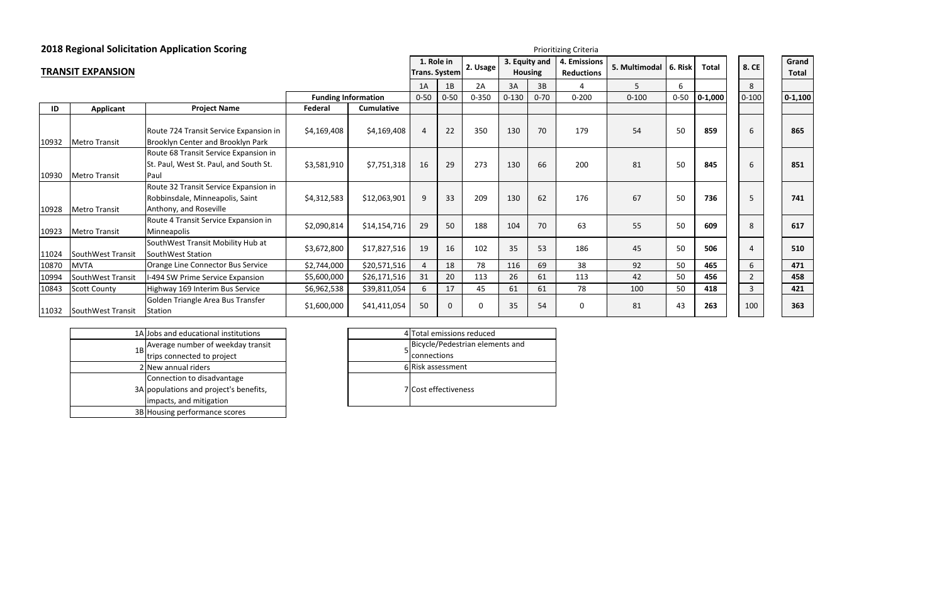|                          |                      | <b>2018 Regional Solicitation Application Scoring</b><br>Prioritizing Criteria                     |             |                            |                                                |          |                                 |           |                                   |               |           |              |           |                       |                       |           |
|--------------------------|----------------------|----------------------------------------------------------------------------------------------------|-------------|----------------------------|------------------------------------------------|----------|---------------------------------|-----------|-----------------------------------|---------------|-----------|--------------|-----------|-----------------------|-----------------------|-----------|
| <b>TRANSIT EXPANSION</b> |                      |                                                                                                    |             |                            | 1. Role in<br>2. Usage<br><b>Trans. System</b> |          | 3. Equity and<br><b>Housing</b> |           | 4. Emissions<br><b>Reductions</b> | 5. Multimodal | 6. Risk   | <b>Total</b> | 8. CE     |                       | Grand<br><b>Total</b> |           |
|                          |                      |                                                                                                    |             |                            | 1A                                             | 1B       | 2A                              | 3A        | 3B                                |               | 5         | 6.           |           | 8                     |                       |           |
|                          |                      |                                                                                                    |             | <b>Funding Information</b> | $0 - 50$                                       | $0 - 50$ | $0 - 350$                       | $0 - 130$ | $0 - 70$                          | $0 - 200$     | $0 - 100$ | $0 - 50$     | $0-1,000$ | $0 - 100$             |                       | $0-1,100$ |
| ID                       | <b>Applicant</b>     | <b>Project Name</b>                                                                                | Federal     | <b>Cumulative</b>          |                                                |          |                                 |           |                                   |               |           |              |           |                       |                       |           |
| 10932                    | <b>Metro Transit</b> | Route 724 Transit Service Expansion in<br>Brooklyn Center and Brooklyn Park                        | \$4,169,408 | \$4,169,408                | 4                                              | 22       | 350                             | 130       | 70                                | 179           | 54        | 50           | 859       | 6                     |                       | 865       |
| 10930                    | <b>Metro Transit</b> | Route 68 Transit Service Expansion in<br>St. Paul, West St. Paul, and South St.<br>Paul            | \$3,581,910 | \$7,751,318                | 16                                             | 29       | 273                             | 130       | 66                                | 200           | 81        | 50           | 845       | 6                     |                       | 851       |
| 10928                    | <b>Metro Transit</b> | Route 32 Transit Service Expansion in<br>Robbinsdale, Minneapolis, Saint<br>Anthony, and Roseville | \$4,312,583 | \$12,063,901               | 9                                              | 33       | 209                             | 130       | 62                                | 176           | 67        | 50           | 736       | 5                     |                       | 741       |
| 10923                    | <b>Metro Transit</b> | Route 4 Transit Service Expansion in<br>Minneapolis                                                | \$2,090,814 | \$14,154,716               | 29                                             | 50       | 188                             | 104       | 70                                | 63            | 55        | 50           | 609       | 8                     |                       | 617       |
| 11024                    | SouthWest Transit    | SouthWest Transit Mobility Hub at<br>SouthWest Station                                             | \$3,672,800 | \$17,827,516               | 19                                             | 16       | 102                             | 35        | 53                                | 186           | 45        | 50           | 506       | $\boldsymbol{\Delta}$ |                       | 510       |
| 10870                    | MVTA                 | Orange Line Connector Bus Service                                                                  | \$2,744,000 | \$20,571,516               | $\overline{4}$                                 | 18       | 78                              | 116       | 69                                | 38            | 92        | 50           | 465       | 6                     |                       | 471       |
| 10994                    | SouthWest Transit    | -494 SW Prime Service Expansion                                                                    | \$5,600,000 | \$26,171,516               | 31                                             | 20       | 113                             | 26        | 61                                | 113           | 42        | 50           | 456       | $\overline{2}$        |                       | 458       |
| 10843                    | <b>Scott County</b>  | Highway 169 Interim Bus Service                                                                    | \$6,962,538 | \$39,811,054               | 6                                              | 17       | 45                              | 61        | 61                                | 78            | 100       | 50           | 418       | 3                     |                       | 421       |
| 11032                    | SouthWest Transit    | Golden Triangle Area Bus Transfer<br>Station                                                       | \$1,600,000 | \$41,411,054               | 50                                             | $\Omega$ | 0                               | 35        | 54                                | 0             | 81        | 43           | 263       | 100                   |                       | 363       |

|    | 1A Jobs and educational institutions   |   |
|----|----------------------------------------|---|
| 1B | Average number of weekday transit      |   |
|    | trips connected to project             |   |
|    | 2 New annual riders                    | 6 |
|    | Connection to disadvantage             |   |
|    | 3A populations and project's benefits, |   |
|    | impacts, and mitigation                |   |
|    | 3B Housing performance scores          |   |

| 4 Total emissions reduced       |
|---------------------------------|
| Bicycle/Pedestrian elements and |
| connections                     |
| 6 Risk assessment               |
| 7 Cost effectiveness            |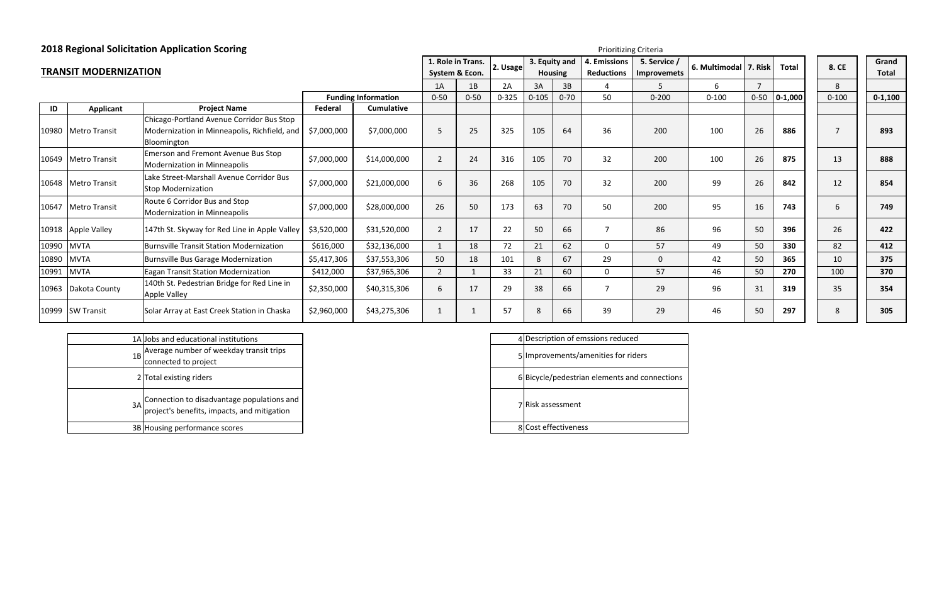| IS.<br>S | 5. Service /<br><b>Improvemets</b> | 6. Multimodal | 7. Risk        | <b>Total</b> | 8. CE          | Grand<br><b>Total</b> |
|----------|------------------------------------|---------------|----------------|--------------|----------------|-----------------------|
|          | 5                                  | 6             | $\overline{7}$ |              | 8              |                       |
|          | $0 - 200$                          | $0 - 100$     | $0 - 50$       | $0 - 1,000$  | $0 - 100$      | $0 - 1,100$           |
|          |                                    |               |                |              |                |                       |
|          | 200                                | 100           | 26             | 886          | $\overline{7}$ | 893                   |
|          | 200                                | 100           | 26             | 875          | 13             | 888                   |
|          | 200                                | 99            | 26             | 842          | 12             | 854                   |
|          | 200                                | 95            | 16             | 743          | 6              | 749                   |
|          | 86                                 | 96            | 50             | 396          | 26             | 422                   |
|          | 57                                 | 49            | 50             | 330          | 82             | 412                   |
|          | 0                                  | 42            | 50             | 365          | 10             | 375                   |
|          | 57                                 | 46            | 50             | 270          | 100            | 370                   |
|          | 29                                 | 96            | 31             | 319          | 35             | 354                   |
|          | 29                                 | 46            | 50             | 297          | 8              | 305                   |

| 8. CE     | Grand<br><b>Total</b> |
|-----------|-----------------------|
| 8         |                       |
| $0 - 100$ | $0 - 1,100$           |
|           |                       |
| 7         | 893                   |
| 13        | 888                   |
| 12        | 854                   |
| 6         | 749                   |
| 26        | 422                   |
| 82        | 412                   |
| 10        | 375                   |
| 100       | 370                   |
| 35        | 354                   |
| 8         | 305                   |
|           |                       |

#### **TRANSIT MODERNIZATION1. Role in Trans.**  $\begin{bmatrix} 1. & Role in Trans. \end{bmatrix}$  and  $\begin{bmatrix} 3. & \text{Equity and} \end{bmatrix}$  4. Emissions **All 2. Usage**  $\begin{bmatrix} 2. & \text{Usage} \end{bmatrix}$  Housing Reductions 1A | 1B | 2A | 3A | 3B | 4 | 5 | 6 | 7 | | | 8 0‐50 0‐50 0‐325 0‐105 0‐70 50 0‐200 0‐100 0‐50 **0‐1,000** 0‐100 **0‐1,100 ID Applicant Project Name Federal Cumulative** 10980 Metro Transit Chicago‐Portland Avenue Corridor Bus Stop Modernization in Minneapolis, Richfield, and Bloomington \$7,000,000 \$7,000,000 5 25 325 105 64 36 200 100 26 **886** 7 **893** <sup>10649</sup> Metro Transit Emerson and Fremont Avenue Bus Stop Modernization in Minneapolis \$7,000,000 \$14,000,000 <sup>2</sup> <sup>24</sup> <sup>316</sup> <sup>105</sup> <sup>70</sup> <sup>32</sup> <sup>200</sup> <sup>100</sup> <sup>26</sup> **<sup>875</sup>** <sup>13</sup> **<sup>888</sup>** <sup>10648</sup> Metro Transit Lake Street‐Marshall Avenue Corridor Bus Stop Modernization \$7,000,000 \$21,000,000 <sup>6</sup> <sup>36</sup> <sup>268</sup> <sup>105</sup> <sup>70</sup> <sup>32</sup> <sup>200</sup> <sup>99</sup> <sup>26</sup> **<sup>842</sup>** <sup>12</sup> **<sup>854</sup>** <sup>10647</sup> Metro Transit Route 6 Corridor Bus and Stop Modernization in Minneapolis \$7,000,000 \$28,000,000 <sup>26</sup> <sup>50</sup> <sup>173</sup> <sup>63</sup> <sup>70</sup> <sup>50</sup> <sup>200</sup> <sup>95</sup> <sup>16</sup> **<sup>743</sup>** <sup>6</sup> **<sup>749</sup>** 10918 Apple Valley | 147th St. Skyway for Red Line in Apple Valley | \$3,520,000 | \$31,520,000 | 2 | 17 | 22 | 50 | 66 | 7 | 86 10990 |MVTA |Burnsville Transit Station Modernization | \$616,000 | \$32,136,000 | 1 | 18 | 72 | 21 | 62 | 0 | 57 10890 |MVTA |Burnsville Bus Garage Modernization | \$5,417,306 | \$37,553,306 | 50 | 18 | 101 | 8 | 67 | 29 | 0 10991 MVTA **|**Eagan Transit Station Modernization | \$412,000 | \$37,965,306 | 2 | 1 | 33 | 21 | 60 | 0 | 57 <sup>10963</sup> Dakota County 140th St. Pedestrian Bridge for Red Line in Apple Valley \$2,350,000 \$40,315,306 <sup>6</sup> <sup>17</sup> <sup>29</sup> <sup>38</sup> <sup>66</sup> <sup>7</sup> <sup>29</sup> <sup>96</sup> <sup>31</sup> **<sup>319</sup>** <sup>35</sup> **<sup>354</sup>** 10999 SW Transit Solar Array at East Creek Station in Chaska | \$2,960,000 | \$43,275,306 | 1 | 1 | 57 | 8 | 66 | 39 | 29 **1. Role in Trans. System & Econ. 3. Equity and Housing Funding Information**

|     | 1A Jobs and educational institutions                                                           |  | 4 Description of em  |
|-----|------------------------------------------------------------------------------------------------|--|----------------------|
| 1BI | Average number of weekday transit trips<br>connected to project                                |  | 5 Improvements/an    |
|     | 2 Total existing riders                                                                        |  | 6 Bicycle/pedestriar |
|     | 3A Connection to disadvantage populations and 1<br>project's benefits, impacts, and mitigation |  | 7 Risk assessment    |
|     | 3B Housing performance scores                                                                  |  | 8 Cost effectiveness |

#### Prioritizing Criteria

|   | Description of emssions reduced               |
|---|-----------------------------------------------|
|   | Improvements/amenities for riders             |
|   | 6 Bicycle/pedestrian elements and connections |
|   | Risk assessment                               |
| Ջ | Cost effectiveness                            |
|   |                                               |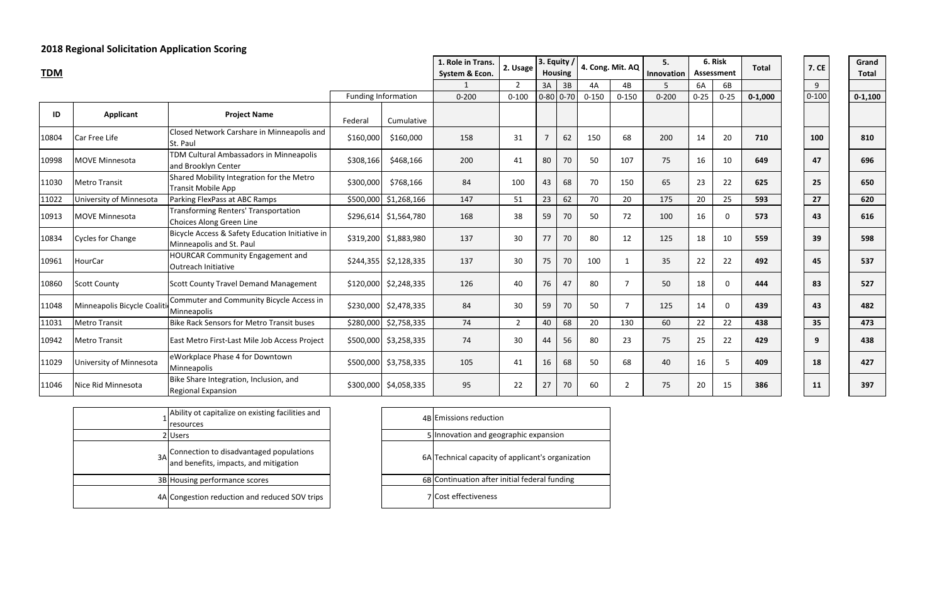| n | 6. Risk<br><b>Assessment</b> |          | <b>Total</b> | <b>7. CE</b> | Grand<br><b>Total</b> |
|---|------------------------------|----------|--------------|--------------|-----------------------|
|   | 6A                           | 6B       |              | 9            |                       |
|   | $0 - 25$                     | $0 - 25$ | $0 - 1,000$  | $0 - 100$    | $0 - 1,100$           |
|   |                              |          |              |              |                       |
|   | 14                           | 20       | 710          | 100          | 810                   |
|   | 16                           | 10       | 649          | 47           | 696                   |
|   | 23                           | 22       | 625          | 25           | 650                   |
|   | 20                           | 25       | 593          | 27           | 620                   |
|   | 16                           | 0        | 573          | 43           | 616                   |
|   | 18                           | 10       | 559          | 39           | 598                   |
|   | 22                           | 22       | 492          | 45           | 537                   |
|   | 18                           | 0        | 444          | 83           | 527                   |
|   | 14                           | 0        | 439          | 43           | 482                   |
|   | 22                           | 22       | 438          | 35           | 473                   |
|   | 25                           | 22       | 429          | 9            | 438                   |
|   | 16                           | 5        | 409          | 18           | 427                   |
|   | 20                           | 15       | 386          | 11           | 397                   |

| 7. C<br>Е  |
|------------|
| 9          |
| $0 - 100$  |
|            |
| <b>LOO</b> |
| 47         |
| 25         |
| 27         |
| 13         |
| 39         |
| 45         |
| 83         |
| 43         |
| 35         |
| 9          |
| 18         |
| 11         |

| Grand<br><b>Total</b> |
|-----------------------|
| $0-1,100$             |
|                       |
| 810                   |
| 696                   |
| 650                   |
| 620                   |
| 616                   |
| 598                   |
| 537                   |
| 527                   |
| 482                   |
| 473                   |
| 438                   |
| 427                   |
| 397                   |

| <b>TDM</b> |                             |                                                                             |           |                            | $ 3.$ Equity $/$<br>1. Role in Trans.<br>2. Usage<br>System & Econ.<br><b>Housing</b> |                |                |             |           | 4. Cong. Mit. AQ | 5.<br>Innovation | 6. Risk<br>Assessment |                | <b>Total</b> |  | <b>7. CE</b> | Grand<br><b>Total</b> |
|------------|-----------------------------|-----------------------------------------------------------------------------|-----------|----------------------------|---------------------------------------------------------------------------------------|----------------|----------------|-------------|-----------|------------------|------------------|-----------------------|----------------|--------------|--|--------------|-----------------------|
|            |                             |                                                                             |           |                            |                                                                                       | $\mathcal{P}$  | 3A             | 3B          | 4A        | 4B               |                  | 6A                    | 6B             |              |  | 9            |                       |
|            |                             |                                                                             |           | <b>Funding Information</b> | $0 - 200$                                                                             | $0 - 100$      |                | $0-80$ 0-70 | $0 - 150$ | $0 - 150$        | $0 - 200$        | $0 - 25$              | $0 - 25$       | $0 - 1,000$  |  | $0 - 100$    | $0 - 1,100$           |
| ID         | <b>Applicant</b>            | <b>Project Name</b>                                                         | Federal   | Cumulative                 |                                                                                       |                |                |             |           |                  |                  |                       |                |              |  |              |                       |
| 10804      | Car Free Life               | Closed Network Carshare in Minneapolis and<br>St. Paul                      | \$160,000 | \$160,000                  | 158                                                                                   | 31             | $\overline{7}$ | 62          | 150       | 68               | 200              | 14                    | 20             | 710          |  | 100          | 810                   |
| 10998      | MOVE Minnesota              | TDM Cultural Ambassadors in Minneapolis<br>and Brooklyn Center              | \$308,166 | \$468,166                  | 200                                                                                   | 41             | 80             | 70          | 50        | 107              | 75               | 16                    | 10             | 649          |  | 47           | 696                   |
| 11030      | <b>Metro Transit</b>        | Shared Mobility Integration for the Metro<br><b>Transit Mobile App</b>      | \$300,000 | \$768,166                  | 84                                                                                    | 100            | 43             | 68          | 70        | 150              | 65               | 23                    | 22             | 625          |  | 25           | 650                   |
| 11022      | University of Minnesota     | Parking FlexPass at ABC Ramps                                               | \$500,000 | \$1,268,166                | 147                                                                                   | 51             | 23             | 62          | 70        | 20               | 175              | 20                    | 25             | 593          |  | 27           | 620                   |
| 10913      | <b>MOVE Minnesota</b>       | <b>Transforming Renters' Transportation</b><br>Choices Along Green Line     |           | $$296,614$ $$1,564,780$    | 168                                                                                   | 38             | 59             | 70          | 50        | 72               | 100              | 16                    | $\mathbf 0$    | 573          |  | 43           | 616                   |
| 10834      | <b>Cycles for Change</b>    | Bicycle Access & Safety Education Initiative in<br>Minneapolis and St. Paul |           | \$319,200 \$1,883,980      | 137                                                                                   | 30             | 77             | 70          | 80        | 12               | 125              | 18                    | 10             | 559          |  | 39           | 598                   |
| 10961      | HourCar                     | HOURCAR Community Engagement and<br>Outreach Initiative                     |           | $$244,355$ $$2,128,335$    | 137                                                                                   | 30             | 75             | 70          | 100       | $\mathbf{1}$     | 35               | 22                    | 22             | 492          |  | 45           | 537                   |
| 10860      | <b>Scott County</b>         | <b>Scott County Travel Demand Management</b>                                |           | $$120,000$ $$2,248,335$    | 126                                                                                   | 40             | 76             | 47          | 80        | $\overline{7}$   | 50               | 18                    | $\Omega$       | 444          |  | 83           | 527                   |
| 11048      | Minneapolis Bicycle Coaliti | Commuter and Community Bicycle Access in<br>Minneapolis                     |           | $$230,000$ $$2,478,335$    | 84                                                                                    | 30             | 59             | 70          | 50        | $\overline{7}$   | 125              | 14                    | $\mathbf{0}$   | 439          |  | 43           | 482                   |
| 11031      | <b>Metro Transit</b>        | <b>Bike Rack Sensors for Metro Transit buses</b>                            | \$280,000 | \$2,758,335                | 74                                                                                    | $\overline{2}$ | 40             | 68          | 20        | 130              | 60               | 22                    | 22             | 438          |  | 35           | 473                   |
| 10942      | <b>Metro Transit</b>        | East Metro First-Last Mile Job Access Project                               |           | \$500,000 \$3,258,335      | 74                                                                                    | 30             | 44             | 56          | 80        | 23               | 75               | 25                    | 22             | 429          |  | 9            | 438                   |
| 11029      | University of Minnesota     | eWorkplace Phase 4 for Downtown<br>Minneapolis                              |           | \$500,000 \$3,758,335      | 105                                                                                   | 41             | 16             | 68          | 50        | 68               | 40               | 16                    | 5 <sup>5</sup> | 409          |  | 18           | 427                   |
| 11046      | Nice Rid Minnesota          | Bike Share Integration, Inclusion, and<br>Regional Expansion                |           | \$300,000 \$4,058,335      | 95                                                                                    | 22             | 27             | 70          | 60        | $\overline{2}$   | 75               | 20                    | 15             | 386          |  | 11           | 397                   |

|    | Ability ot capitalize on existing facilities and<br>resources                    | 4B |
|----|----------------------------------------------------------------------------------|----|
|    | 2Users                                                                           |    |
| 3A | Connection to disadvantaged populations<br>and benefits, impacts, and mitigation | 6A |
|    | 3B Housing performance scores                                                    | 6B |
|    | 4A Congestion reduction and reduced SOV trips                                    |    |

| 4B Emissions reduction                            |
|---------------------------------------------------|
| 5 Innovation and geographic expansion             |
| 6A Technical capacity of applicant's organization |
| 6B Continuation after initial federal funding     |
| <b>7</b> Cost effectiveness                       |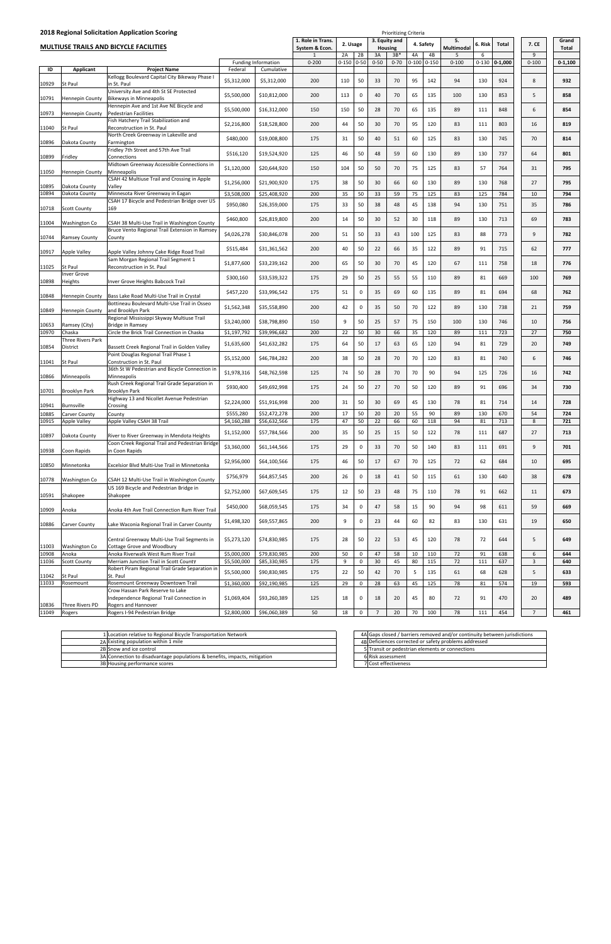| 2018 Regional Solicitation Application Scoring<br><b>Prioritizing Criteria</b> |                                |                                                                                      |                        |                            |                                |           |             |                |                         |           |           |                 |           |             |                |             |
|--------------------------------------------------------------------------------|--------------------------------|--------------------------------------------------------------------------------------|------------------------|----------------------------|--------------------------------|-----------|-------------|----------------|-------------------------|-----------|-----------|-----------------|-----------|-------------|----------------|-------------|
|                                                                                |                                | <b>MULTIUSE TRAILS AND BICYCLE FACILITIES</b>                                        |                        |                            | 1. Role in Trans.              | 2. Usage  |             |                | 3. Equity and           |           | 4. Safety | 5.              | 6. Risk   | Total       | 7. CE          | Grand       |
|                                                                                |                                |                                                                                      |                        |                            | System & Econ.<br>$\mathbf{1}$ | 2A        | 2B          | 3A             | <b>Housing</b><br>$3B*$ | 4B<br>4A  |           | Multimodal<br>5 | 6         |             | 9              | Total       |
|                                                                                |                                |                                                                                      |                        | <b>Funding Information</b> | $0 - 200$                      | $0 - 150$ | $0 - 50$    | $0 - 50$       | $0 - 70$                | $0 - 100$ | $0 - 150$ | $0 - 100$       | $0 - 130$ | $0 - 1,000$ | $0 - 100$      | $0 - 1,100$ |
| ID<br>10929                                                                    | Applicant<br>St Paul           | <b>Project Name</b><br>Kellogg Boulevard Capital City Bikeway Phase I<br>in St. Paul | Federal<br>\$5,312,000 | Cumulative<br>\$5,312,000  | 200                            | 110       | 50          | 33             | 70                      | 95        | 142       | 94              | 130       | 924         | 8              | 932         |
| 10791                                                                          | <b>Hennepin County</b>         | University Ave and 4th St SE Protected<br><b>Bikeways in Minneapolis</b>             | \$5,500,000            | \$10,812,000               | 200                            | 113       | 0           | 40             | 70                      | 65        | 135       | 100             | 130       | 853         | 5              | 858         |
| 10973                                                                          | <b>Hennepin County</b>         | Hennepin Ave and 1st Ave NE Bicycle and<br><b>Pedestrian Facilities</b>              | \$5,500,000            | \$16,312,000               | 150                            | 150       | 50          | 28             | 70                      | 65        | 135       | 89              | 111       | 848         | 6              | 854         |
| 11040                                                                          | St Paul                        | Fish Hatchery Trail Stabilization and<br><b>Reconstruction in St. Paul</b>           | \$2,216,800            | \$18,528,800               | 200                            | 44        | 50          | 30             | 70                      | 95        | 120       | 83              | 111       | 803         | 16             | 819         |
| 10896                                                                          | Dakota County                  | North Creek Greenway in Lakeville and<br>Farmington                                  | \$480,000              | \$19,008,800               | 175                            | 31        | 50          | 40             | 51                      | 60        | 125       | 83              | 130       | 745         | 70             | 814         |
| 10899                                                                          | Fridley                        | Fridley 7th Street and 57th Ave Trail<br>Connections                                 | \$516,120              | \$19,524,920               | 125                            | 46        | 50          | 48             | 59                      | 60        | 130       | 89              | 130       | 737         | 64             | 801         |
| 11050                                                                          | <b>Hennepin County</b>         | Midtown Greenway Accessible Connections in<br>Minneapolis                            | \$1,120,000            | \$20,644,920               | 150                            | 104       | 50          | 50             | 70                      | 75        | 125       | 83              | 57        | 764         | 31             | 795         |
| 10895                                                                          |                                | CSAH 42 Multiuse Trail and Crossing in Apple                                         | \$1,256,000            | \$21,900,920               | 175                            | 38        | 50          | 30             | 66                      | 60        | 130       | 89              | 130       | 768         | 27             | 795         |
| 10894                                                                          | Dakota County<br>Dakota County | Valley<br>Minnesota River Greenway in Eagan                                          | \$3,508,000            | \$25,408,920               | 200                            | 35        | 50          | 33             | 59                      | 75        | 125       | 83              | 125       | 784         | 10             | 794         |
| 10718                                                                          | <b>Scott County</b>            | CSAH 17 Bicycle and Pedestrian Bridge over US<br>169                                 | \$950,080              | \$26,359,000               | 175                            | 33        | 50          | 38             | 48                      | 45        | 138       | 94              | 130       | 751         | 35             | 786         |
| 11004                                                                          | <b>Washington Co</b>           | CSAH 38 Multi-Use Trail in Washington County                                         | \$460,800              | \$26,819,800               | 200                            | 14        | 50          | 30             | 52                      | 30        | 118       | 89              | 130       | 713         | 69             | 783         |
| 10744                                                                          | <b>Ramsey County</b>           | Bruce Vento Regional Trail Extension in Ramsey<br>County                             | \$4,026,278            | \$30,846,078               | 200                            | 51        | 50          | 33             | 43                      | 100       | 125       | 83              | 88        | 773         | 9              | 782         |
| 10917                                                                          | <b>Apple Valley</b>            | Apple Valley Johnny Cake Ridge Road Trail                                            | \$515,484              | \$31,361,562               | 200                            | 40        | 50          | 22             | 66                      | 35        | 122       | 89              | 91        | 715         | 62             | 777         |
| 11025                                                                          | <b>St Paul</b>                 | Sam Morgan Regional Trail Segment 1<br>Reconstruction in St. Paul                    | \$1,877,600            | \$33,239,162               | 200                            | 65        | 50          | 30             | 70                      | 45        | 120       | 67              | 111       | 758         | 18             | 776         |
| 10898                                                                          | <b>Inver Grove</b><br>Heights  | Inver Grove Heights Babcock Trail                                                    | \$300,160              | \$33,539,322               | 175                            | 29        | 50          | 25             | 55                      | 55        | 110       | 89              | 81        | 669         | 100            | 769         |
| 10848                                                                          | Hennepin County                | Bass Lake Road Multi-Use Trail in Crystal                                            | \$457,220              | \$33,996,542               | 175                            | 51        | 0           | 35             | 69                      | 60        | 135       | 89              | 81        | 694         | 68             | 762         |
| 10849                                                                          | <b>Hennepin County</b>         | Bottineau Boulevard Multi-Use Trail in Osseo<br>and Brooklyn Park                    | \$1,562,348            | \$35,558,890               | 200                            | 42        | $\mathbf 0$ | 35             | 50                      | 70        | 122       | 89              | 130       | 738         | 21             | 759         |
|                                                                                |                                | Regional Mississippi Skyway Multiuse Trail                                           | \$3,240,000            | \$38,798,890               | 150                            | 9         | 50          | 25             | 57                      | 75        | 150       | 100             | 130       | 746         | 10             | 756         |
| 10653<br>10970                                                                 | Ramsey (City)<br>Chaska        | <b>Bridge in Ramsey</b><br>Circle the Brick Trail Connection in Chaska               | \$1,197,792            | \$39,996,682               | 200                            | 22        | 50          | 30             | 66                      | 35        | 120       | 89              | 111       | 723         | 27             | 750         |
| 10854                                                                          | Three Rivers Park<br>District  | Bassett Creek Regional Trail in Golden Valley                                        | \$1,635,600            | \$41,632,282               | 175                            | 64        | 50          | 17             | 63                      | 65        | 120       | 94              | 81        | 729         | 20             | 749         |
| 11041                                                                          | <b>St Paul</b>                 | Point Douglas Regional Trail Phase 1<br>Construction in St. Paul                     | \$5,152,000            | \$46,784,282               | 200                            | 38        | 50          | 28             | 70                      | 70        | 120       | 83              | 81        | 740         | 6              | 746         |
| 10866                                                                          | Minneapolis                    | 36th St W Pedestrian and Bicycle Connection in<br>Minneapolis                        | \$1,978,316            | \$48,762,598               | 125                            | 74        | 50          | 28             | 70                      | 70        | 90        | 94              | 125       | 726         | 16             | 742         |
| 10701                                                                          | <b>Brooklyn Park</b>           | Rush Creek Regional Trail Grade Separation in<br>Brooklyn Park                       | \$930,400              | \$49,692,998               | 175                            | 24        | 50          | 27             | 70                      | 50        | 120       | 89              | 91        | 696         | 34             | 730         |
| 10941                                                                          | Burnsville                     | Highway 13 and Nicollet Avenue Pedestrian<br>Crossing                                | \$2,224,000            | \$51,916,998               | 200                            | 31        | 50          | 30             | 69                      | 45        | 130       | 78              | 81        | 714         | 14             | 728         |
| 10885                                                                          | Carver County                  | County                                                                               | \$555,280              | \$52,472,278               | 200                            | 17        | 50          | 20             | 20                      | 55        | 90        | 89              | 130       | 670         | 54             | 724         |
| 10915                                                                          | <b>Apple Valley</b>            | Apple Valley CSAH 38 Trail                                                           | \$4,160,288            | \$56,632,566               | 175                            | 47        | 50          | 22             | 66                      | 60        | 118       | 94              | 81        | 713         | 8              | 721         |
| 10897                                                                          | Dakota County                  | River to River Greenway in Mendota Heights                                           | \$1,152,000            | \$57,784,566               | 200                            | 35        | 50          | 25             | 15                      | 50        | 122       | 78              | 111       | 687         | 27             | 713         |
| 10938                                                                          | Coon Rapids                    | Coon Creek Regional Trail and Pedestrian Bridge<br>in Coon Rapids                    | \$3,360,000            | \$61,144,566               | 175                            | 29        | 0           | 33             | 70                      | 50        | 140       | 83              | 111       | 691         | 9              | 701         |
| 10850                                                                          | Minnetonka                     | Excelsior Blvd Multi-Use Trail in Minnetonka                                         | \$2,956,000            | \$64,100,566               | 175                            | 46        | 50          | 17             | 67                      | 70        | 125       | 72              | 62        | 684         | 10             | 695         |
| 10778                                                                          | Washington Co                  | CSAH 12 Multi-Use Trail in Washington County                                         | \$756,979              | \$64,857,545               | 200                            | 26        | $\mathbf 0$ | 18             | 41                      | 50        | 115       | 61              | 130       | 640         | 38             | 678         |
| 10591                                                                          | Shakopee                       | US 169 Bicycle and Pedestrian Bridge in<br>Shakopee                                  | \$2,752,000            | \$67,609,545               | 175                            | 12        | 50          | 23             | 48                      | 75        | 110       | 78              | 91        | 662         | 11             | 673         |
| 10909                                                                          | Anoka                          | Anoka 4th Ave Trail Connection Rum River Trail                                       | \$450,000              | \$68,059,545               | 175                            | 34        | $\mathbf 0$ | 47             | 58                      | 15        | 90        | 94              | 98        | 611         | 59             | 669         |
| 10886                                                                          | <b>Carver County</b>           | Lake Waconia Regional Trail in Carver County                                         | \$1,498,320            | \$69,557,865               | 200                            | 9         | 0           | 23             | 44                      | 60        | 82        | 83              | 130       | 631         | 19             | 650         |
| 11003                                                                          | Washington Co                  | Central Greenway Multi-Use Trail Segments in<br>Cottage Grove and Woodbury           | \$5,273,120            | \$74,830,985               | 175                            | 28        | 50          | 22             | 53                      | 45        | 120       | 78              | 72        | 644         | 5              | 649         |
| 10908                                                                          | Anoka                          | Anoka Riverwalk West Rum River Trail                                                 | \$5,000,000            | \$79,830,985               | 200                            | 50        | 0           | 47             | 58                      | 10        | 110       | 72              | 91        | 638         | 6              | 644         |
| 11036                                                                          | <b>Scott County</b>            | Merriam Junction Trail in Scott County                                               | \$5,500,000            | \$85,330,985               | 175                            | 9         | 0           | 30             | 45                      | 80        | 115       | 72              | 111       | 637         | 3              | 640         |
| 11042                                                                          | St Paul                        | Robert Piram Regional Trail Grade Separation in<br>St. Paul                          | \$5,500,000            | \$90,830,985               | 175                            | 22        | 50          | 42             | 70                      | 5         | 135       | 61              | 68        | 628         | 5              | 633         |
| 11033                                                                          | Rosemount                      | Rosemount Greenway Downtown Trail                                                    | \$1,360,000            | \$92,190,985               | 125                            | 29        | 0           | 28             | 63                      | 45        | 125       | 78              | 81        | 574         | 19             | 593         |
|                                                                                |                                | Crow Hassan Park Reserve to Lake<br>Independence Regional Trail Connection in        | \$1,069,404            | \$93,260,389               | 125                            | 18        | 0           | 18             | 20                      | 45        | 80        | 72              | 91        | 470         | 20             | 489         |
| 10836<br>11049                                                                 | Three Rivers PD<br>Rogers      | Rogers and Hannover<br>Rogers I-94 Pedestrian Bridge                                 | \$2,800,000            | \$96,060,389               | 50                             | 18        | 0           | $\overline{7}$ | 20                      | 70        | 100       | 78              | 111       | 454         | $\overline{7}$ | 461         |

| 1 Location relative to Regional Bicycle Transportation Network            | 4A |
|---------------------------------------------------------------------------|----|
| 2A Existing population within 1 mile                                      | 4B |
| 2B Snow and ice control                                                   |    |
| 3A Connection to disadvantage populations & benefits, impacts, mitigation |    |
| 3B Housing performance scores                                             |    |

| 4A Gaps closed / barriers removed and/or continuity between jurisdictions |
|---------------------------------------------------------------------------|
| 4B Deficiences corrected or safety problems addressed                     |
| 5 Transit or pedestrian elements or connections                           |
| 6 Risk assessment                                                         |
| 7 Cost effectiveness                                                      |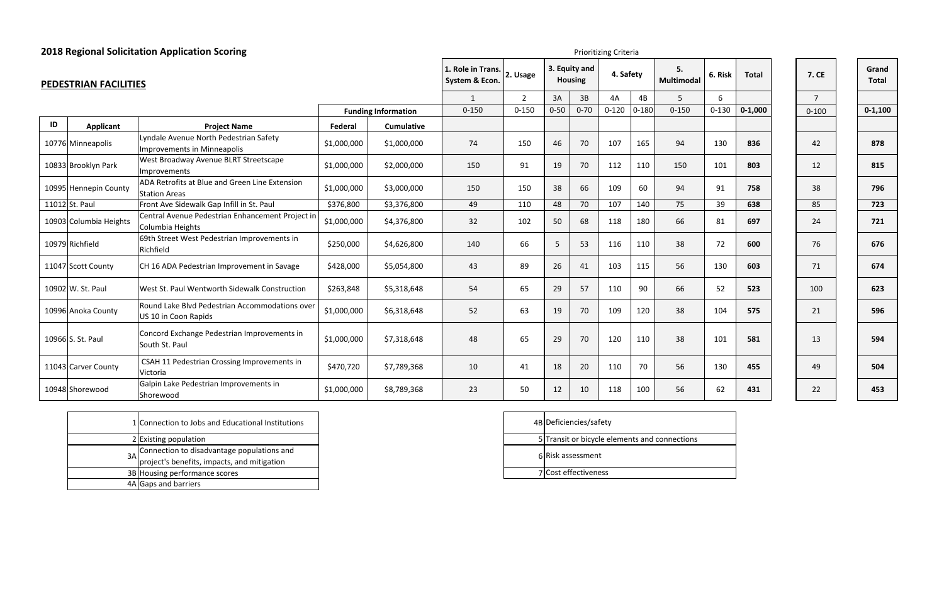| E | Grand<br><b>Total</b> |
|---|-----------------------|
|   |                       |
| 0 | $0 - 1,100$           |
|   |                       |
|   | 878                   |
|   | 815                   |
|   | 796                   |
|   | 723                   |
|   | 721                   |
|   | 676                   |
|   | 674                   |
|   | 623                   |
|   | 596                   |
|   | 594                   |
|   | 504                   |
|   | 453                   |



| <b>2018 Regional Solicitation Application Scoring</b> |                        |                                                                              |             |                                                 |              | Prioritizing Criteria |                                 |          |           |                  |                |              |              |                |             |
|-------------------------------------------------------|------------------------|------------------------------------------------------------------------------|-------------|-------------------------------------------------|--------------|-----------------------|---------------------------------|----------|-----------|------------------|----------------|--------------|--------------|----------------|-------------|
|                                                       | PEDESTRIAN FACILITIES  |                                                                              |             | 1. Role in Trans.<br>2. Usage<br>System & Econ. |              |                       | 3. Equity and<br><b>Housing</b> |          | 4. Safety | 5.<br>Multimodal | 6. Risk        | <b>Total</b> | <b>7. CE</b> | Grand<br>Total |             |
|                                                       |                        |                                                                              |             |                                                 | $\mathbf{1}$ | $\overline{2}$        | 3A                              | 3B       | 4A        | 4B               | $\overline{5}$ | 6            |              | $\overline{7}$ |             |
|                                                       |                        |                                                                              |             | <b>Funding Information</b>                      | $0 - 150$    | $0 - 150$             | $0 - 50$                        | $0 - 70$ | $0 - 120$ | $0 - 180$        | $0 - 150$      | $0 - 130$    | $0 - 1,000$  | $0 - 100$      | $0 - 1,100$ |
| ID                                                    | <b>Applicant</b>       | <b>Project Name</b>                                                          | Federal     | <b>Cumulative</b>                               |              |                       |                                 |          |           |                  |                |              |              |                |             |
|                                                       | 10776 Minneapolis      | Lyndale Avenue North Pedestrian Safety<br><b>Improvements in Minneapolis</b> | \$1,000,000 | \$1,000,000                                     | 74           | 150                   | 46                              | 70       | 107       | 165              | 94             | 130          | 836          | 42             | 878         |
|                                                       | 10833 Brooklyn Park    | West Broadway Avenue BLRT Streetscape<br><b>Improvements</b>                 | \$1,000,000 | \$2,000,000                                     | 150          | 91                    | 19                              | 70       | 112       | 110              | 150            | 101          | 803          | 12             | 815         |
|                                                       | 10995 Hennepin County  | ADA Retrofits at Blue and Green Line Extension<br><b>Station Areas</b>       | \$1,000,000 | \$3,000,000                                     | 150          | 150                   | 38                              | 66       | 109       | 60               | 94             | 91           | 758          | 38             | 796         |
|                                                       | 11012 St. Paul         | Front Ave Sidewalk Gap Infill in St. Paul                                    | \$376,800   | \$3,376,800                                     | 49           | 110                   | 48                              | 70       | 107       | 140              | 75             | 39           | 638          | 85             | 723         |
|                                                       | 10903 Columbia Heights | Central Avenue Pedestrian Enhancement Project ir<br>Columbia Heights         | \$1,000,000 | \$4,376,800                                     | 32           | 102                   | 50                              | 68       | 118       | 180              | 66             | 81           | 697          | 24             | 721         |
|                                                       | 10979 Richfield        | 69th Street West Pedestrian Improvements in<br>Richfield                     | \$250,000   | \$4,626,800                                     | 140          | 66                    | 5                               | 53       | 116       | 110              | 38             | 72           | 600          | 76             | 676         |
|                                                       | 11047 Scott County     | CH 16 ADA Pedestrian Improvement in Savage                                   | \$428,000   | \$5,054,800                                     | 43           | 89                    | 26                              | 41       | 103       | 115              | 56             | 130          | 603          | 71             | 674         |
|                                                       | 10902 W. St. Paul      | West St. Paul Wentworth Sidewalk Construction                                | \$263,848   | \$5,318,648                                     | 54           | 65                    | 29                              | 57       | 110       | 90               | 66             | 52           | 523          | 100            | 623         |
|                                                       | 10996 Anoka County     | Round Lake Blvd Pedestrian Accommodations over<br>US 10 in Coon Rapids       | \$1,000,000 | \$6,318,648                                     | 52           | 63                    | 19                              | 70       | 109       | 120              | 38             | 104          | 575          | 21             | 596         |
|                                                       | 10966 S. St. Paul      | Concord Exchange Pedestrian Improvements in<br>South St. Paul                | \$1,000,000 | \$7,318,648                                     | 48           | 65                    | 29                              | 70       | 120       | 110              | 38             | 101          | 581          | 13             | 594         |
|                                                       | 11043 Carver County    | CSAH 11 Pedestrian Crossing Improvements in<br>Victoria                      | \$470,720   | \$7,789,368                                     | 10           | 41                    | 18                              | 20       | 110       | 70               | 56             | 130          | 455          | 49             | 504         |
|                                                       | 10948 Shorewood        | Galpin Lake Pedestrian Improvements in<br>Shorewood                          | \$1,000,000 | \$8,789,368                                     | 23           | 50                    | 12                              | 10       | 118       | 100              | 56             | 62           | 431          | 22             | 453         |

| 1 Connection to Jobs and Educational Institutions                                            | 4B |
|----------------------------------------------------------------------------------------------|----|
| 2 Existing population                                                                        |    |
| 3A Connection to disadvantage populations and<br>project's benefits, impacts, and mitigation |    |
| 3B Housing performance scores                                                                |    |
| 4A Gaps and barriers                                                                         |    |

| 4B Deficiencies/safety                        |
|-----------------------------------------------|
| 5 Transit or bicycle elements and connections |
| 6 Risk assessment                             |
| 7 Cost effectiveness                          |
|                                               |

| 7. CE           |
|-----------------|
| 7               |
| $0 - 100$       |
|                 |
| 42              |
| 12              |
| 38              |
| 85              |
| 24              |
| 76              |
| 71              |
| 100             |
| 21              |
| 13              |
| 49              |
| $\overline{2}2$ |